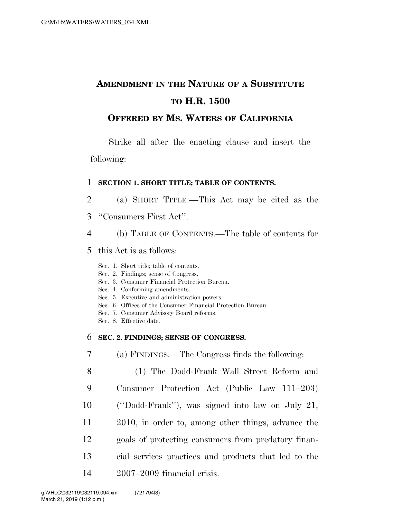# **AMENDMENT IN THE NATURE OF A SUBSTITUTE TO H.R. 1500**

# **OFFERED BY MS. WATERS OF CALIFORNIA**

Strike all after the enacting clause and insert the following:

### 1 **SECTION 1. SHORT TITLE; TABLE OF CONTENTS.**

- 2 (a) SHORT TITLE.—This Act may be cited as the
- 3 ''Consumers First Act''.
- 4 (b) TABLE OF CONTENTS.—The table of contents for
- 5 this Act is as follows:
	- Sec. 1. Short title; table of contents.
	- Sec. 2. Findings; sense of Congress.
	- Sec. 3. Consumer Financial Protection Bureau.
	- Sec. 4. Conforming amendments.
	- Sec. 5. Executive and administration powers.
	- Sec. 6. Offices of the Consumer Financial Protection Bureau.
	- Sec. 7. Consumer Advisory Board reforms.
	- Sec. 8. Effective date.

# 6 **SEC. 2. FINDINGS; SENSE OF CONGRESS.**

7 (a) FINDINGS.—The Congress finds the following:

 (1) The Dodd-Frank Wall Street Reform and Consumer Protection Act (Public Law 111–203) (''Dodd-Frank''), was signed into law on July 21, 2010, in order to, among other things, advance the goals of protecting consumers from predatory finan- cial services practices and products that led to the 2007–2009 financial crisis.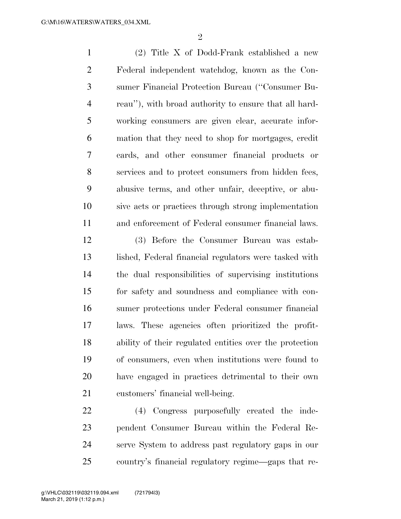$\mathfrak{D}$ 

 (2) Title X of Dodd-Frank established a new Federal independent watchdog, known as the Con- sumer Financial Protection Bureau (''Consumer Bu- reau''), with broad authority to ensure that all hard- working consumers are given clear, accurate infor- mation that they need to shop for mortgages, credit cards, and other consumer financial products or services and to protect consumers from hidden fees, abusive terms, and other unfair, deceptive, or abu- sive acts or practices through strong implementation and enforcement of Federal consumer financial laws.

 (3) Before the Consumer Bureau was estab- lished, Federal financial regulators were tasked with the dual responsibilities of supervising institutions for safety and soundness and compliance with con- sumer protections under Federal consumer financial laws. These agencies often prioritized the profit- ability of their regulated entities over the protection of consumers, even when institutions were found to have engaged in practices detrimental to their own customers' financial well-being.

 (4) Congress purposefully created the inde- pendent Consumer Bureau within the Federal Re- serve System to address past regulatory gaps in our country's financial regulatory regime—gaps that re-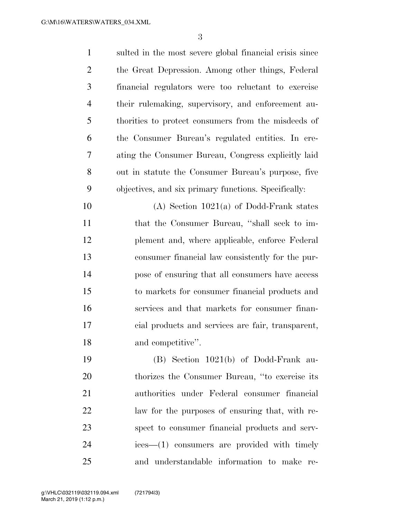| $\mathbf{1}$   | sulted in the most severe global financial crisis since |
|----------------|---------------------------------------------------------|
| $\overline{2}$ | the Great Depression. Among other things, Federal       |
| 3              | financial regulators were too reluctant to exercise     |
| $\overline{4}$ | their rulemaking, supervisory, and enforcement au-      |
| 5              | thorities to protect consumers from the misdeeds of     |
| 6              | the Consumer Bureau's regulated entities. In cre-       |
| 7              | ating the Consumer Bureau, Congress explicitly laid     |
| 8              | out in statute the Consumer Bureau's purpose, five      |
| 9              | objectives, and six primary functions. Specifically:    |
| 10             | $(A)$ Section 1021 $(a)$ of Dodd-Frank states           |
| 11             | that the Consumer Bureau, "shall seek to im-            |
| 12             | plement and, where applicable, enforce Federal          |
| 13             | consumer financial law consistently for the pur-        |
| 14             | pose of ensuring that all consumers have access         |
| 15             | to markets for consumer financial products and          |
| 16             | services and that markets for consumer finan-           |
| 17             | cial products and services are fair, transparent,       |
| 18             | and competitive".                                       |
| 19             | $(B)$ Section 1021(b) of Dodd-Frank au-                 |
| 20             | thorizes the Consumer Bureau, "to exercise its          |
| 21             | authorities under Federal consumer financial            |
| 22             | law for the purposes of ensuring that, with re-         |
| 23             | spect to consumer financial products and serv-          |
| 24             | $i$ ces— $(1)$ consumers are provided with timely       |
| 25             | and understandable information to make re-              |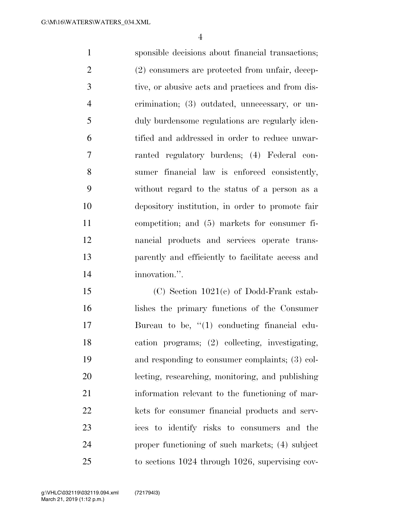sponsible decisions about financial transactions; 2 (2) consumers are protected from unfair, decep- tive, or abusive acts and practices and from dis- crimination; (3) outdated, unnecessary, or un- duly burdensome regulations are regularly iden- tified and addressed in order to reduce unwar- ranted regulatory burdens; (4) Federal con- sumer financial law is enforced consistently, without regard to the status of a person as a depository institution, in order to promote fair competition; and (5) markets for consumer fi- nancial products and services operate trans- parently and efficiently to facilitate access and innovation.''.

 (C) Section 1021(c) of Dodd-Frank estab- lishes the primary functions of the Consumer 17 Bureau to be, "(1) conducting financial edu- cation programs; (2) collecting, investigating, and responding to consumer complaints; (3) col- lecting, researching, monitoring, and publishing information relevant to the functioning of mar- kets for consumer financial products and serv- ices to identify risks to consumers and the proper functioning of such markets; (4) subject to sections 1024 through 1026, supervising cov-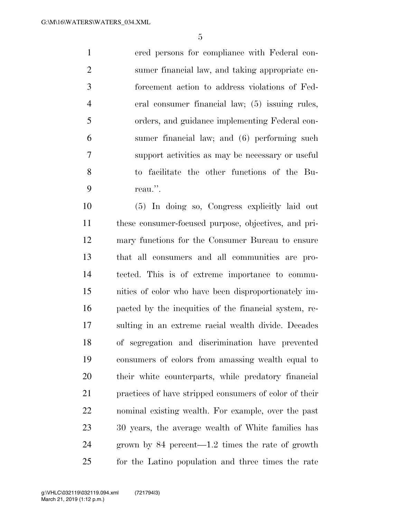ered persons for compliance with Federal con- sumer financial law, and taking appropriate en- forcement action to address violations of Fed- eral consumer financial law; (5) issuing rules, orders, and guidance implementing Federal con- sumer financial law; and (6) performing such support activities as may be necessary or useful to facilitate the other functions of the Bu-reau.''.

 (5) In doing so, Congress explicitly laid out these consumer-focused purpose, objectives, and pri- mary functions for the Consumer Bureau to ensure that all consumers and all communities are pro- tected. This is of extreme importance to commu- nities of color who have been disproportionately im- pacted by the inequities of the financial system, re- sulting in an extreme racial wealth divide. Decades of segregation and discrimination have prevented consumers of colors from amassing wealth equal to their white counterparts, while predatory financial practices of have stripped consumers of color of their nominal existing wealth. For example, over the past 30 years, the average wealth of White families has grown by 84 percent—1.2 times the rate of growth for the Latino population and three times the rate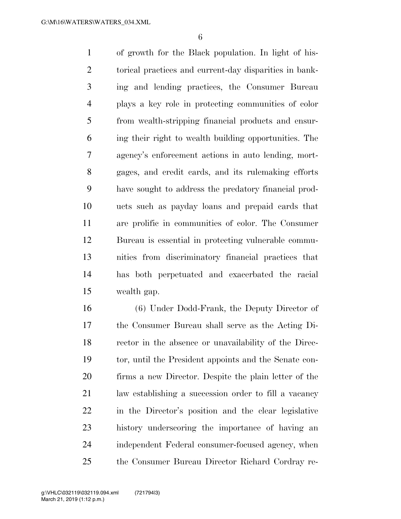of growth for the Black population. In light of his- torical practices and current-day disparities in bank- ing and lending practices, the Consumer Bureau plays a key role in protecting communities of color from wealth-stripping financial products and ensur- ing their right to wealth building opportunities. The agency's enforcement actions in auto lending, mort- gages, and credit cards, and its rulemaking efforts have sought to address the predatory financial prod- ucts such as payday loans and prepaid cards that are prolific in communities of color. The Consumer Bureau is essential in protecting vulnerable commu- nities from discriminatory financial practices that has both perpetuated and exacerbated the racial wealth gap.

 (6) Under Dodd-Frank, the Deputy Director of the Consumer Bureau shall serve as the Acting Di- rector in the absence or unavailability of the Direc- tor, until the President appoints and the Senate con- firms a new Director. Despite the plain letter of the law establishing a succession order to fill a vacancy in the Director's position and the clear legislative history underscoring the importance of having an independent Federal consumer-focused agency, when the Consumer Bureau Director Richard Cordray re-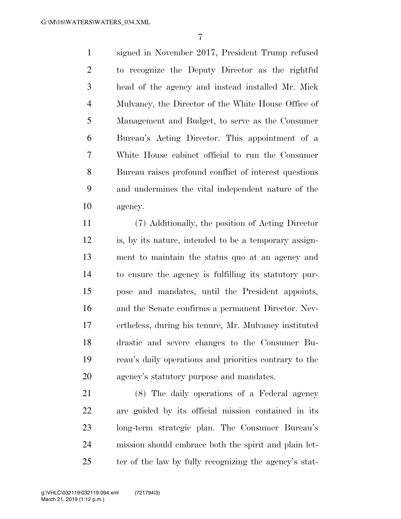signed in November 2017, President Trump refused to recognize the Deputy Director as the rightful head of the agency and instead installed Mr. Mick Mulvaney, the Director of the White House Office of Management and Budget, to serve as the Consumer Bureau's Acting Director. This appointment of a White House cabinet official to run the Consumer Bureau raises profound conflict of interest questions and undermines the vital independent nature of the agency.

 (7) Additionally, the position of Acting Director is, by its nature, intended to be a temporary assign- ment to maintain the status quo at an agency and to ensure the agency is fulfilling its statutory pur- pose and mandates, until the President appoints, and the Senate confirms a permanent Director. Nev- ertheless, during his tenure, Mr. Mulvaney instituted drastic and severe changes to the Consumer Bu- reau's daily operations and priorities contrary to the agency's statutory purpose and mandates.

 (8) The daily operations of a Federal agency are guided by its official mission contained in its long-term strategic plan. The Consumer Bureau's mission should embrace both the spirit and plain let-25 ter of the law by fully recognizing the agency's stat-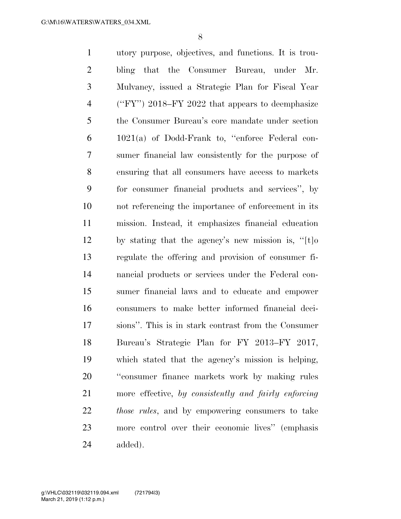utory purpose, objectives, and functions. It is trou- bling that the Consumer Bureau, under Mr. Mulvaney, issued a Strategic Plan for Fiscal Year (''FY'') 2018–FY 2022 that appears to deemphasize the Consumer Bureau's core mandate under section 1021(a) of Dodd-Frank to, ''enforce Federal con- sumer financial law consistently for the purpose of ensuring that all consumers have access to markets for consumer financial products and services'', by not referencing the importance of enforcement in its mission. Instead, it emphasizes financial education by stating that the agency's new mission is, ''[t]o regulate the offering and provision of consumer fi- nancial products or services under the Federal con- sumer financial laws and to educate and empower consumers to make better informed financial deci- sions''. This is in stark contrast from the Consumer Bureau's Strategic Plan for FY 2013–FY 2017, which stated that the agency's mission is helping, ''consumer finance markets work by making rules more effective, *by consistently and fairly enforcing those rules*, and by empowering consumers to take more control over their economic lives'' (emphasis added).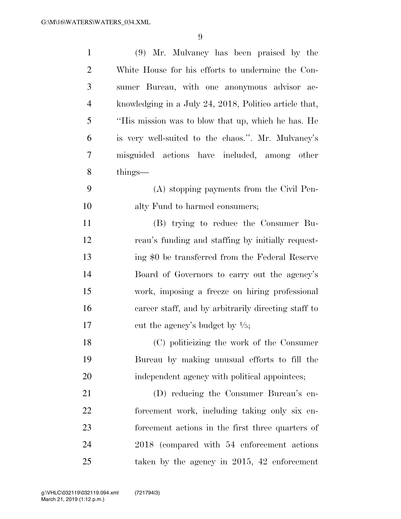| $\mathbf{1}$   | (9) Mr. Mulvaney has been praised by the               |
|----------------|--------------------------------------------------------|
| $\overline{2}$ | White House for his efforts to undermine the Con-      |
| 3              | sumer Bureau, with one anonymous advisor ac-           |
| $\overline{4}$ | knowledging in a July 24, 2018, Politico article that, |
| 5              | "His mission was to blow that up, which he has. He     |
| 6              | is very well-suited to the chaos.". Mr. Mulvaney's     |
| 7              | misguided actions have included, among other           |
| 8              | $\text{things}$                                        |
| 9              | (A) stopping payments from the Civil Pen-              |
| 10             | alty Fund to harmed consumers;                         |
| 11             | (B) trying to reduce the Consumer Bu-                  |
| 12             | reau's funding and staffing by initially request-      |
| 13             | ing \$0 be transferred from the Federal Reserve        |
| 14             | Board of Governors to carry out the agency's           |
| 15             | work, imposing a freeze on hiring professional         |
| 16             | career staff, and by arbitrarily directing staff to    |
| 17             | cut the agency's budget by $\frac{1}{5}$ ;             |
| 18             | (C) politicizing the work of the Consumer              |
| 19             | Bureau by making unusual efforts to fill the           |
| 20             | independent agency with political appointees;          |
| 21             | (D) reducing the Consumer Bureau's en-                 |
| 22             | forcement work, including taking only six en-          |
| 23             | forcement actions in the first three quarters of       |
| 24             | 2018 (compared with 54 enforcement actions)            |
| 25             | taken by the agency in $2015$ , 42 enforcement         |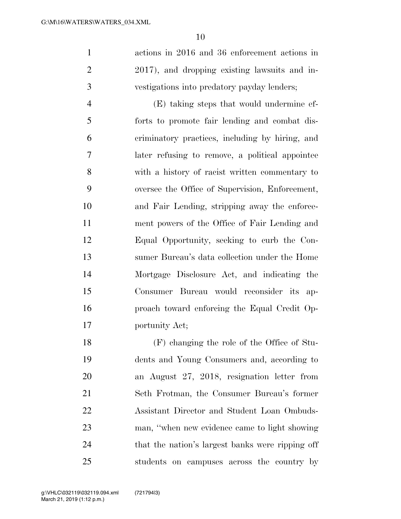actions in 2016 and 36 enforcement actions in 2017), and dropping existing lawsuits and in-vestigations into predatory payday lenders;

 (E) taking steps that would undermine ef- forts to promote fair lending and combat dis- criminatory practices, including by hiring, and later refusing to remove, a political appointee with a history of racist written commentary to oversee the Office of Supervision, Enforcement, and Fair Lending, stripping away the enforce- ment powers of the Office of Fair Lending and Equal Opportunity, seeking to curb the Con- sumer Bureau's data collection under the Home Mortgage Disclosure Act, and indicating the Consumer Bureau would reconsider its ap- proach toward enforcing the Equal Credit Op-portunity Act;

 (F) changing the role of the Office of Stu- dents and Young Consumers and, according to an August 27, 2018, resignation letter from Seth Frotman, the Consumer Bureau's former Assistant Director and Student Loan Ombuds- man, ''when new evidence came to light showing that the nation's largest banks were ripping off students on campuses across the country by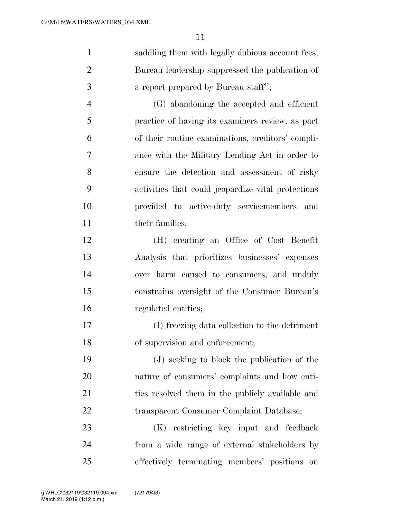saddling them with legally dubious account fees, Bureau leadership suppressed the publication of **a** report prepared by Bureau staff"; (G) abandoning the accepted and efficient

 practice of having its examiners review, as part of their routine examinations, creditors' compli- ance with the Military Lending Act in order to ensure the detection and assessment of risky activities that could jeopardize vital protections provided to active-duty servicemembers and 11 their families;

 (H) creating an Office of Cost Benefit Analysis that prioritizes businesses' expenses over harm caused to consumers, and unduly constrains oversight of the Consumer Bureau's regulated entities;

 (I) freezing data collection to the detriment of supervision and enforcement;

 (J) seeking to block the publication of the nature of consumers' complaints and how enti- ties resolved them in the publicly available and transparent Consumer Complaint Database;

 (K) restricting key input and feedback from a wide range of external stakeholders by effectively terminating members' positions on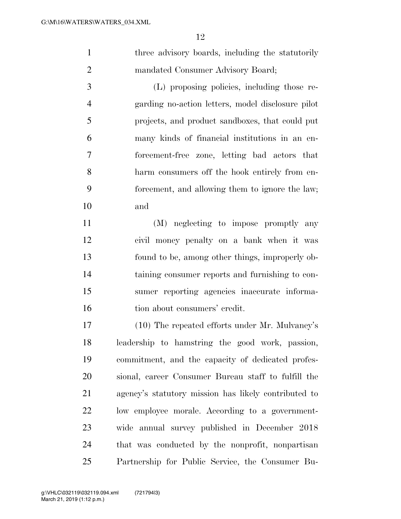1 three advisory boards, including the statutorily mandated Consumer Advisory Board;

 (L) proposing policies, including those re- garding no-action letters, model disclosure pilot projects, and product sandboxes, that could put many kinds of financial institutions in an en- forcement-free zone, letting bad actors that harm consumers off the hook entirely from en- forcement, and allowing them to ignore the law; and

 (M) neglecting to impose promptly any civil money penalty on a bank when it was found to be, among other things, improperly ob- taining consumer reports and furnishing to con- sumer reporting agencies inaccurate informa-16 tion about consumers' credit.

 (10) The repeated efforts under Mr. Mulvaney's leadership to hamstring the good work, passion, commitment, and the capacity of dedicated profes- sional, career Consumer Bureau staff to fulfill the agency's statutory mission has likely contributed to low employee morale. According to a government- wide annual survey published in December 2018 that was conducted by the nonprofit, nonpartisan Partnership for Public Service, the Consumer Bu-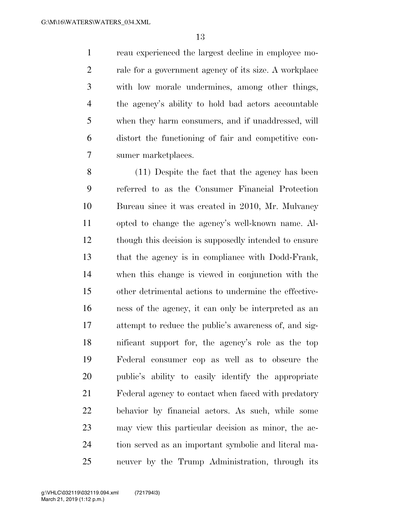reau experienced the largest decline in employee mo- rale for a government agency of its size. A workplace with low morale undermines, among other things, the agency's ability to hold bad actors accountable when they harm consumers, and if unaddressed, will distort the functioning of fair and competitive con-sumer marketplaces.

 (11) Despite the fact that the agency has been referred to as the Consumer Financial Protection Bureau since it was created in 2010, Mr. Mulvaney opted to change the agency's well-known name. Al- though this decision is supposedly intended to ensure that the agency is in compliance with Dodd-Frank, when this change is viewed in conjunction with the other detrimental actions to undermine the effective- ness of the agency, it can only be interpreted as an attempt to reduce the public's awareness of, and sig- nificant support for, the agency's role as the top Federal consumer cop as well as to obscure the public's ability to easily identify the appropriate Federal agency to contact when faced with predatory behavior by financial actors. As such, while some may view this particular decision as minor, the ac- tion served as an important symbolic and literal ma-neuver by the Trump Administration, through its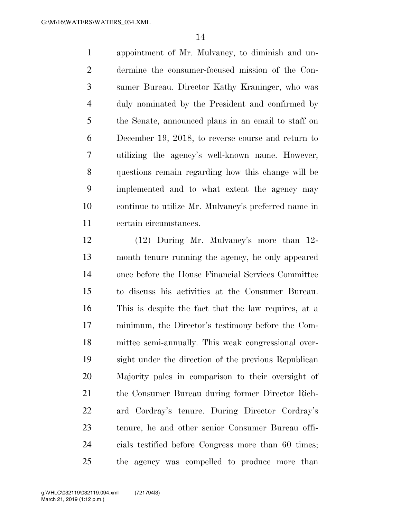appointment of Mr. Mulvaney, to diminish and un- dermine the consumer-focused mission of the Con- sumer Bureau. Director Kathy Kraninger, who was duly nominated by the President and confirmed by the Senate, announced plans in an email to staff on December 19, 2018, to reverse course and return to utilizing the agency's well-known name. However, questions remain regarding how this change will be implemented and to what extent the agency may continue to utilize Mr. Mulvaney's preferred name in certain circumstances.

 (12) During Mr. Mulvaney's more than 12- month tenure running the agency, he only appeared once before the House Financial Services Committee to discuss his activities at the Consumer Bureau. This is despite the fact that the law requires, at a minimum, the Director's testimony before the Com- mittee semi-annually. This weak congressional over- sight under the direction of the previous Republican Majority pales in comparison to their oversight of the Consumer Bureau during former Director Rich- ard Cordray's tenure. During Director Cordray's tenure, he and other senior Consumer Bureau offi- cials testified before Congress more than 60 times; the agency was compelled to produce more than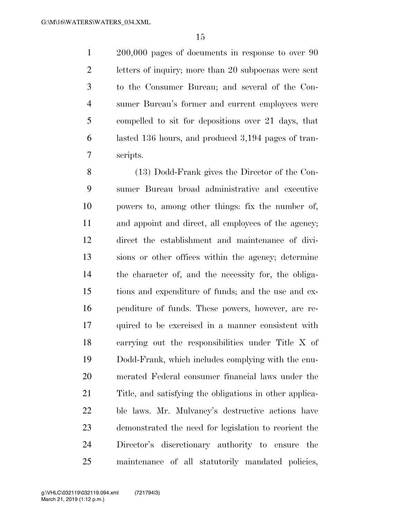200,000 pages of documents in response to over 90 letters of inquiry; more than 20 subpoenas were sent to the Consumer Bureau; and several of the Con- sumer Bureau's former and current employees were compelled to sit for depositions over 21 days, that lasted 136 hours, and produced 3,194 pages of tran-scripts.

 (13) Dodd-Frank gives the Director of the Con- sumer Bureau broad administrative and executive powers to, among other things: fix the number of, and appoint and direct, all employees of the agency; direct the establishment and maintenance of divi- sions or other offices within the agency; determine the character of, and the necessity for, the obliga- tions and expenditure of funds; and the use and ex- penditure of funds. These powers, however, are re- quired to be exercised in a manner consistent with carrying out the responsibilities under Title X of Dodd-Frank, which includes complying with the enu- merated Federal consumer financial laws under the Title, and satisfying the obligations in other applica- ble laws. Mr. Mulvaney's destructive actions have demonstrated the need for legislation to reorient the Director's discretionary authority to ensure the maintenance of all statutorily mandated policies,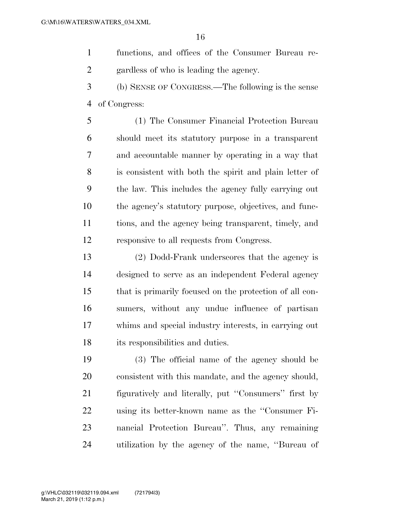functions, and offices of the Consumer Bureau re-gardless of who is leading the agency.

 (b) SENSE OF CONGRESS.—The following is the sense of Congress:

 (1) The Consumer Financial Protection Bureau should meet its statutory purpose in a transparent and accountable manner by operating in a way that is consistent with both the spirit and plain letter of the law. This includes the agency fully carrying out the agency's statutory purpose, objectives, and func- tions, and the agency being transparent, timely, and responsive to all requests from Congress.

 (2) Dodd-Frank underscores that the agency is designed to serve as an independent Federal agency that is primarily focused on the protection of all con- sumers, without any undue influence of partisan whims and special industry interests, in carrying out its responsibilities and duties.

 (3) The official name of the agency should be consistent with this mandate, and the agency should, figuratively and literally, put ''Consumers'' first by using its better-known name as the ''Consumer Fi- nancial Protection Bureau''. Thus, any remaining utilization by the agency of the name, ''Bureau of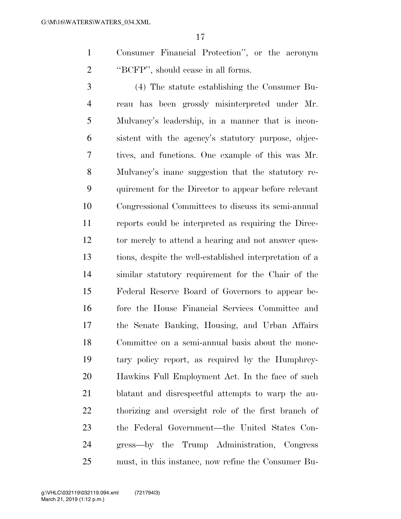Consumer Financial Protection'', or the acronym ''BCFP'', should cease in all forms.

 (4) The statute establishing the Consumer Bu- reau has been grossly misinterpreted under Mr. Mulvaney's leadership, in a manner that is incon- sistent with the agency's statutory purpose, objec- tives, and functions. One example of this was Mr. Mulvaney's inane suggestion that the statutory re- quirement for the Director to appear before relevant Congressional Committees to discuss its semi-annual reports could be interpreted as requiring the Direc-12 tor merely to attend a hearing and not answer ques- tions, despite the well-established interpretation of a similar statutory requirement for the Chair of the Federal Reserve Board of Governors to appear be- fore the House Financial Services Committee and the Senate Banking, Housing, and Urban Affairs Committee on a semi-annual basis about the mone- tary policy report, as required by the Humphrey- Hawkins Full Employment Act. In the face of such blatant and disrespectful attempts to warp the au- thorizing and oversight role of the first branch of the Federal Government—the United States Con- gress—by the Trump Administration, Congress must, in this instance, now refine the Consumer Bu-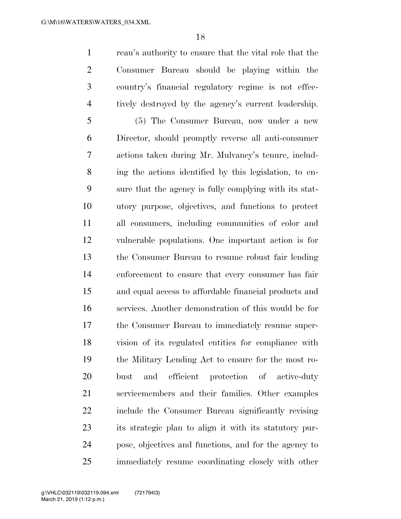reau's authority to ensure that the vital role that the Consumer Bureau should be playing within the country's financial regulatory regime is not effec-tively destroyed by the agency's current leadership.

 (5) The Consumer Bureau, now under a new Director, should promptly reverse all anti-consumer actions taken during Mr. Mulvaney's tenure, includ- ing the actions identified by this legislation, to en- sure that the agency is fully complying with its stat- utory purpose, objectives, and functions to protect all consumers, including communities of color and vulnerable populations. One important action is for the Consumer Bureau to resume robust fair lending enforcement to ensure that every consumer has fair and equal access to affordable financial products and services. Another demonstration of this would be for the Consumer Bureau to immediately resume super- vision of its regulated entities for compliance with the Military Lending Act to ensure for the most ro- bust and efficient protection of active-duty servicemembers and their families. Other examples include the Consumer Bureau significantly revising its strategic plan to align it with its statutory pur- pose, objectives and functions, and for the agency to immediately resume coordinating closely with other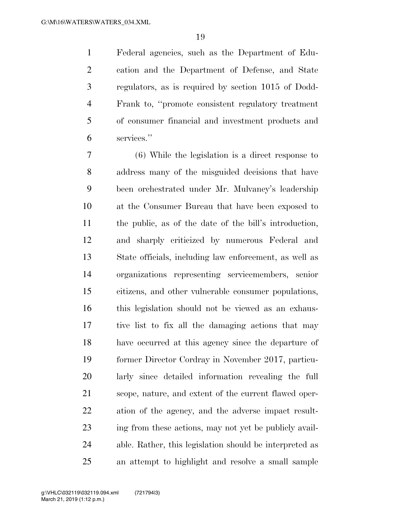Federal agencies, such as the Department of Edu- cation and the Department of Defense, and State regulators, as is required by section 1015 of Dodd- Frank to, ''promote consistent regulatory treatment of consumer financial and investment products and services.''

 (6) While the legislation is a direct response to address many of the misguided decisions that have been orchestrated under Mr. Mulvaney's leadership at the Consumer Bureau that have been exposed to the public, as of the date of the bill's introduction, and sharply criticized by numerous Federal and State officials, including law enforcement, as well as organizations representing servicemembers, senior citizens, and other vulnerable consumer populations, this legislation should not be viewed as an exhaus- tive list to fix all the damaging actions that may have occurred at this agency since the departure of former Director Cordray in November 2017, particu- larly since detailed information revealing the full scope, nature, and extent of the current flawed oper- ation of the agency, and the adverse impact result- ing from these actions, may not yet be publicly avail- able. Rather, this legislation should be interpreted as an attempt to highlight and resolve a small sample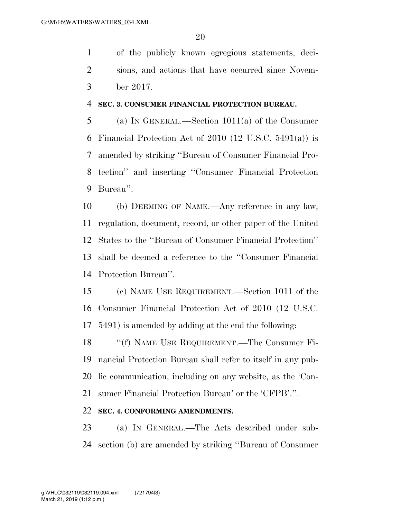of the publicly known egregious statements, deci- sions, and actions that have occurred since Novem-ber 2017.

#### **SEC. 3. CONSUMER FINANCIAL PROTECTION BUREAU.**

 (a) IN GENERAL.—Section 1011(a) of the Consumer 6 Financial Protection Act of (12 U.S.C. 5491(a)) is amended by striking ''Bureau of Consumer Financial Pro- tection'' and inserting ''Consumer Financial Protection Bureau''.

 (b) DEEMING OF NAME.—Any reference in any law, regulation, document, record, or other paper of the United States to the ''Bureau of Consumer Financial Protection'' shall be deemed a reference to the ''Consumer Financial Protection Bureau''.

 (c) NAME USE REQUIREMENT.—Section 1011 of the Consumer Financial Protection Act of 2010 (12 U.S.C. 5491) is amended by adding at the end the following:

 ''(f) NAME USE REQUIREMENT.—The Consumer Fi- nancial Protection Bureau shall refer to itself in any pub- lic communication, including on any website, as the 'Con-sumer Financial Protection Bureau' or the 'CFPB'.''.

# **SEC. 4. CONFORMING AMENDMENTS.**

 (a) IN GENERAL.—The Acts described under sub-section (b) are amended by striking ''Bureau of Consumer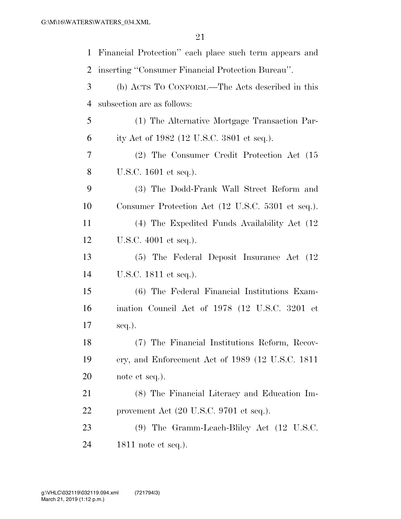| $\mathbf{1}$   | Financial Protection" each place such term appears and     |
|----------------|------------------------------------------------------------|
| $\overline{2}$ | inserting "Consumer Financial Protection Bureau".          |
| 3              | (b) ACTS TO CONFORM.—The Acts described in this            |
| $\overline{4}$ | subsection are as follows:                                 |
| 5              | (1) The Alternative Mortgage Transaction Par-              |
| 6              | ity Act of 1982 (12 U.S.C. 3801 et seq.).                  |
| 7              | (2) The Consumer Credit Protection Act (15                 |
| 8              | U.S.C. 1601 et seq.).                                      |
| 9              | (3) The Dodd-Frank Wall Street Reform and                  |
| 10             | Consumer Protection Act (12 U.S.C. 5301 et seq.).          |
| 11             | (4) The Expedited Funds Availability Act (12)              |
| 12             | U.S.C. 4001 et seq.).                                      |
| 13             | (5) The Federal Deposit Insurance Act (12)                 |
| 14             | U.S.C. 1811 et seq.).                                      |
| 15             | (6) The Federal Financial Institutions Exam-               |
| 16             | ination Council Act of 1978 (12 U.S.C. 3201 et             |
| 17             | $seq.$ ).                                                  |
| 18             | (7) The Financial Institutions Reform, Recov-              |
| 19             | ery, and Enforcement Act of 1989 (12 U.S.C. 1811           |
| 20             | note et seq.).                                             |
| 21             | (8) The Financial Literacy and Education Im-               |
| 22             | provement Act $(20 \text{ U.S.C. } 9701 \text{ et seq.}).$ |
| 23             | (9) The Gramm-Leach-Bliley Act (12 U.S.C.                  |
| 24             | $1811$ note et seq.).                                      |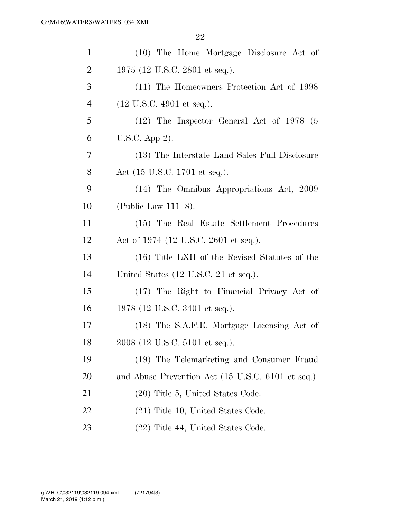| $\mathbf{1}$   | (10) The Home Mortgage Disclosure Act of           |
|----------------|----------------------------------------------------|
| $\overline{2}$ | 1975 (12 U.S.C. 2801 et seq.).                     |
| 3              | (11) The Homeowners Protection Act of 1998         |
| $\overline{4}$ | $(12 \text{ U.S.C. } 4901 \text{ et seq.}).$       |
| 5              | $(12)$ The Inspector General Act of 1978 (5)       |
| 6              | U.S.C. App 2).                                     |
| 7              | (13) The Interstate Land Sales Full Disclosure     |
| 8              | Act (15 U.S.C. 1701 et seq.).                      |
| 9              | (14) The Omnibus Appropriations Act, 2009          |
| 10             | (Public Law $111-8$ ).                             |
| 11             | (15) The Real Estate Settlement Procedures         |
| 12             | Act of 1974 (12 U.S.C. 2601 et seq.).              |
| 13             | (16) Title LXII of the Revised Statutes of the     |
| 14             | United States (12 U.S.C. 21 et seq.).              |
| 15             | (17) The Right to Financial Privacy Act of         |
| 16             | 1978 (12 U.S.C. 3401 et seq.).                     |
| 17             | (18) The S.A.F.E. Mortgage Licensing Act of        |
| 18             | 2008 (12 U.S.C. 5101 et seq.).                     |
| 19             | (19) The Telemarketing and Consumer Fraud          |
| <b>20</b>      | and Abuse Prevention Act (15 U.S.C. 6101 et seq.). |
| 21             | (20) Title 5, United States Code.                  |
| 22             | $(21)$ Title 10, United States Code.               |
| 23             | (22) Title 44, United States Code.                 |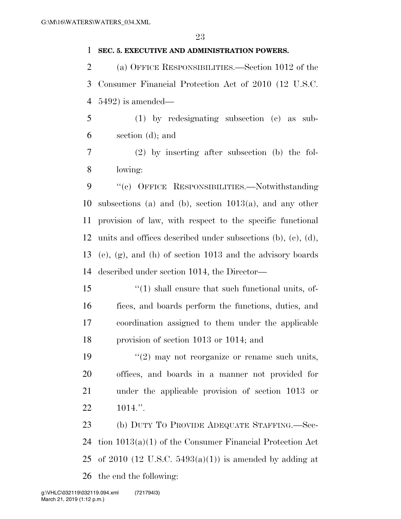### **SEC. 5. EXECUTIVE AND ADMINISTRATION POWERS.**

 (a) OFFICE RESPONSIBILITIES.—Section 1012 of the Consumer Financial Protection Act of 2010 (12 U.S.C. 5492) is amended—

 (1) by redesignating subsection (c) as sub-section (d); and

 (2) by inserting after subsection (b) the fol-lowing:

 ''(c) OFFICE RESPONSIBILITIES.—Notwithstanding subsections (a) and (b), section 1013(a), and any other provision of law, with respect to the specific functional units and offices described under subsections (b), (c), (d), (e), (g), and (h) of section 1013 and the advisory boards described under section 1014, the Director—

 ''(1) shall ensure that such functional units, of- fices, and boards perform the functions, duties, and coordination assigned to them under the applicable provision of section 1013 or 1014; and

 $(2)$  may not reorganize or rename such units, offices, and boards in a manner not provided for under the applicable provision of section 1013 or 1014.''.

 (b) DUTY TO PROVIDE ADEQUATE STAFFING.—Sec- tion 1013(a)(1) of the Consumer Financial Protection Act 25 of 2010 (12 U.S.C.  $5493(a)(1)$ ) is amended by adding at the end the following: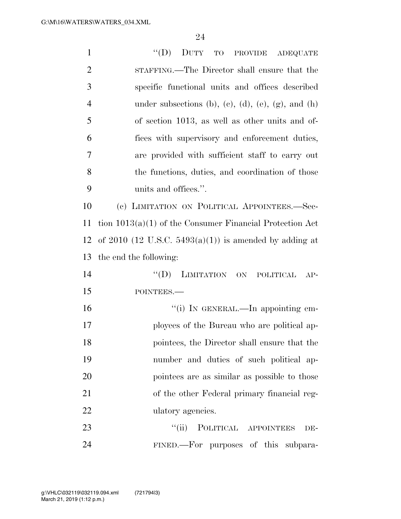| $\mathbf{1}$   | "(D) DUTY TO PROVIDE ADEQUATE                              |
|----------------|------------------------------------------------------------|
| $\overline{2}$ | STAFFING.—The Director shall ensure that the               |
| 3              | specific functional units and offices described            |
| $\overline{4}$ | under subsections (b), (c), (d), (e), (g), and (h)         |
| 5              | of section 1013, as well as other units and of-            |
| 6              | fices with supervisory and enforcement duties,             |
| $\overline{7}$ | are provided with sufficient staff to carry out            |
| 8              | the functions, duties, and coordination of those           |
| 9              | units and offices.".                                       |
| 10             | (c) LIMITATION ON POLITICAL APPOINTEES.-Sec-               |
| 11             | tion $1013(a)(1)$ of the Consumer Financial Protection Act |
| 12             | of 2010 (12 U.S.C. $5493(a)(1)$ ) is amended by adding at  |
| 13             | the end the following:                                     |
| 14             | $\lq\lq (D)$<br>LIMITATION ON POLITICAL<br>$AP-$           |
| 15             | POINTEES.-                                                 |
| 16             | "(i) IN GENERAL.—In appointing em-                         |
| 17             |                                                            |
|                | ployees of the Bureau who are political ap-                |
| 18             | pointees, the Director shall ensure that the               |
| 19             | number and duties of such political ap-                    |
| 20             | pointees are as similar as possible to those               |
| 21             | of the other Federal primary financial reg-                |
| 22             | ulatory agencies.                                          |
| 23             | ``(ii)<br>POLITICAL APPOINTEES<br>DE-                      |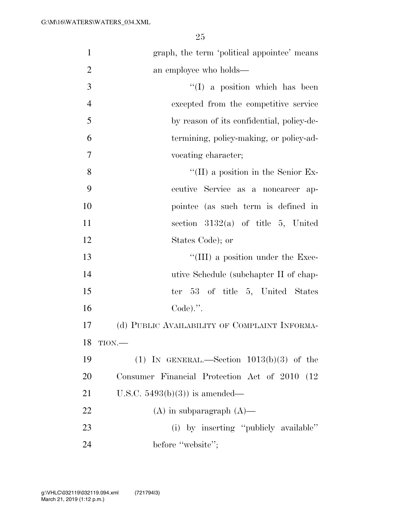| $\mathbf{1}$   | graph, the term 'political appointee' means    |
|----------------|------------------------------------------------|
| $\overline{2}$ | an employee who holds—                         |
| 3              | $\lq\lq$ (I) a position which has been         |
| $\overline{4}$ | excepted from the competitive service          |
| 5              | by reason of its confidential, policy-de-      |
| 6              | termining, policy-making, or policy-ad-        |
| $\overline{7}$ | vocating character;                            |
| 8              | $\lq\lq$ (II) a position in the Senior Ex-     |
| 9              | ecutive Service as a noncareer ap-             |
| 10             | pointee (as such term is defined in            |
| 11             | section $3132(a)$ of title 5, United           |
| 12             | States Code); or                               |
| 13             | $\lq\lq$ (III) a position under the Exec-      |
| 14             | utive Schedule (subchapter II of chap-         |
| 15             | ter 53 of title 5, United States               |
| 16             | $Code).$ ".                                    |
| 17             | (d) PUBLIC AVAILABILITY OF COMPLAINT INFORMA-  |
| 18             | TION.                                          |
| 19             | (1) IN GENERAL.—Section $1013(b)(3)$ of the    |
| <b>20</b>      | Consumer Financial Protection Act of 2010 (12) |
| 21             | U.S.C. $5493(b)(3)$ is amended—                |
| 22             | $(A)$ in subparagraph $(A)$ —                  |
| 23             | (i) by inserting "publicly available"          |
| 24             | before "website";                              |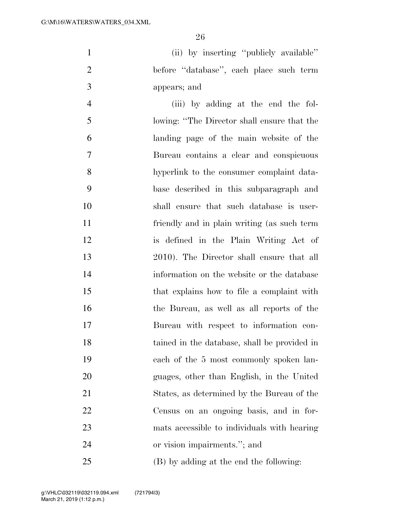(ii) by inserting ''publicly available'' before ''database'', each place such term appears; and

 (iii) by adding at the end the fol- lowing: ''The Director shall ensure that the landing page of the main website of the Bureau contains a clear and conspicuous hyperlink to the consumer complaint data- base described in this subparagraph and shall ensure that such database is user- friendly and in plain writing (as such term is defined in the Plain Writing Act of 2010). The Director shall ensure that all information on the website or the database that explains how to file a complaint with the Bureau, as well as all reports of the Bureau with respect to information con- tained in the database, shall be provided in each of the 5 most commonly spoken lan- guages, other than English, in the United States, as determined by the Bureau of the Census on an ongoing basis, and in for- mats accessible to individuals with hearing or vision impairments.''; and (B) by adding at the end the following: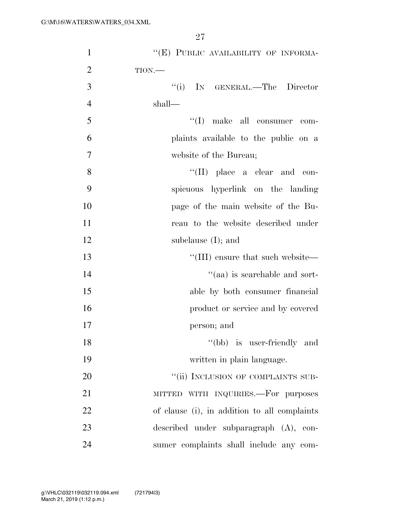| $\mathbf{1}$   | "(E) PUBLIC AVAILABILITY OF INFORMA-               |
|----------------|----------------------------------------------------|
| $\overline{2}$ | TION.                                              |
| 3              | "(i) IN GENERAL.—The Director                      |
| $\overline{4}$ | shall—                                             |
| 5              | $``(I)$ make all consumer com-                     |
| 6              | plaints available to the public on a               |
| 7              | website of the Bureau;                             |
| 8              | $\lq\lq$ (II) place a clear and con-               |
| 9              | spicuous hyperlink on the landing                  |
| 10             | page of the main website of the Bu-                |
| 11             | reau to the website described under                |
| 12             | subclause $(I)$ ; and                              |
| 13             | $\lq$ <sup>"</sup> (III) ensure that such website— |
| 14             | "(aa) is searchable and sort-                      |
| 15             | able by both consumer financial                    |
| 16             | product or service and by covered                  |
| 17             | person; and                                        |
| 18             | "(bb) is user-friendly and                         |
| 19             | written in plain language.                         |
| 20             | "(ii) INCLUSION OF COMPLAINTS SUB-                 |
| 21             | MITTED WITH INQUIRIES.—For purposes                |
| 22             | of clause (i), in addition to all complaints       |
| 23             | described under subparagraph (A), con-             |
| 24             | sumer complaints shall include any com-            |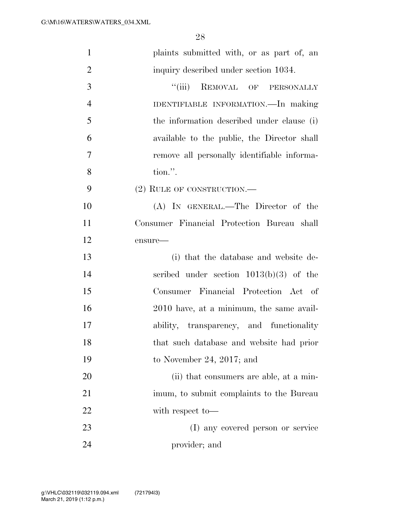| $\mathbf{1}$   | plaints submitted with, or as part of, an   |
|----------------|---------------------------------------------|
| $\overline{2}$ | inquiry described under section 1034.       |
| 3              | "(iii) REMOVAL OF PERSONALLY                |
| $\overline{4}$ | IDENTIFIABLE INFORMATION.—In making         |
| 5              | the information described under clause (i)  |
| 6              | available to the public, the Director shall |
| $\overline{7}$ | remove all personally identifiable informa- |
| 8              | tion.".                                     |
| 9              | $(2)$ RULE OF CONSTRUCTION.—                |
| 10             | (A) IN GENERAL.—The Director of the         |
| 11             | Consumer Financial Protection Bureau shall  |
| 12             | ensure-                                     |
| 13             | (i) that the database and website de-       |
| 14             | scribed under section $1013(b)(3)$ of the   |
| 15             | Consumer Financial Protection Act of        |
| 16             | 2010 have, at a minimum, the same avail-    |
| 17             | ability, transparency, and functionality    |
| 18             | that such database and website had prior    |
| 19             | to November 24, 2017; and                   |
| 20             | (ii) that consumers are able, at a min-     |
| 21             | imum, to submit complaints to the Bureau    |
| 22             | with respect to-                            |
| 23             | (I) any covered person or service           |
| 24             | provider; and                               |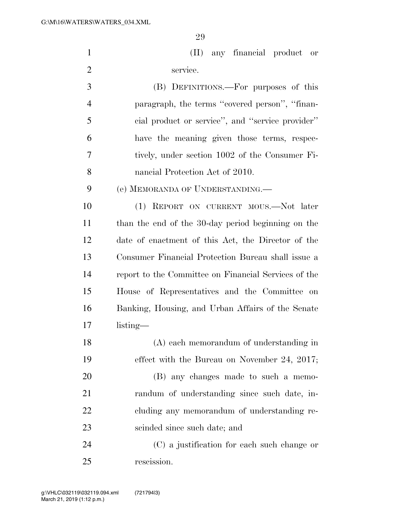(II) any financial product or service.

 (B) DEFINITIONS.—For purposes of this paragraph, the terms ''covered person'', ''finan- cial product or service'', and ''service provider'' have the meaning given those terms, respec- tively, under section 1002 of the Consumer Fi-nancial Protection Act of 2010.

(e) MEMORANDA OF UNDERSTANDING.—

 (1) REPORT ON CURRENT MOUS.—Not later than the end of the 30-day period beginning on the date of enactment of this Act, the Director of the Consumer Financial Protection Bureau shall issue a report to the Committee on Financial Services of the House of Representatives and the Committee on Banking, Housing, and Urban Affairs of the Senate listing—

 (A) each memorandum of understanding in effect with the Bureau on November 24, 2017; (B) any changes made to such a memo- randum of understanding since such date, in- cluding any memorandum of understanding re-scinded since such date; and

 (C) a justification for each such change or rescission.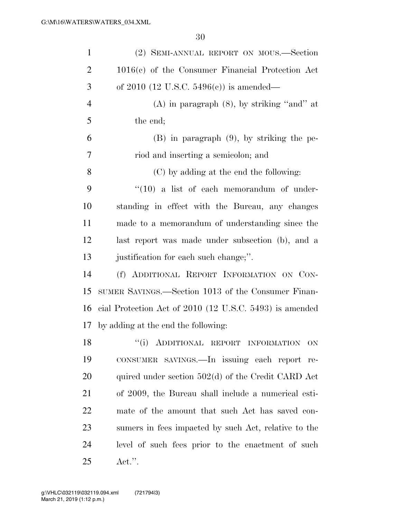| $\mathbf{1}$   | (2) SEMI-ANNUAL REPORT ON MOUS.—Section                 |
|----------------|---------------------------------------------------------|
| $\overline{2}$ | $1016(c)$ of the Consumer Financial Protection Act      |
| 3              | of 2010 (12 U.S.C. 5496(c)) is amended—                 |
| $\overline{4}$ | $(A)$ in paragraph $(8)$ , by striking "and" at         |
| 5              | the end;                                                |
| 6              | $(B)$ in paragraph $(9)$ , by striking the pe-          |
| 7              | riod and inserting a semicolon; and                     |
| 8              | (C) by adding at the end the following:                 |
| 9              | $``(10)$ a list of each memorandum of under-            |
| 10             | standing in effect with the Bureau, any changes         |
| <sup>11</sup>  | made to a memorandum of understanding since the         |
| 12             | last report was made under subsection (b), and a        |
| 13             | justification for each such change;".                   |
| 14             | (f) ADDITIONAL REPORT INFORMATION ON CON-               |
| 15             | SUMER SAVINGS.—Section 1013 of the Consumer Finan-      |
| 16             | cial Protection Act of 2010 (12 U.S.C. 5493) is amended |
|                | 17 by adding at the end the following:                  |
| 18             | "(i) ADDITIONAL REPORT INFORMATION ON                   |
| 19             | CONSUMER SAVINGS.—In issuing each report re-            |
| 20             | quired under section $502(d)$ of the Credit CARD Act    |
| 21             | of 2009, the Bureau shall include a numerical esti-     |
| 22             | mate of the amount that such Act has saved con-         |
| 23             | sumers in fees impacted by such Act, relative to the    |
| 24             | level of such fees prior to the enactment of such       |
| 25             | $\text{Act."}.$                                         |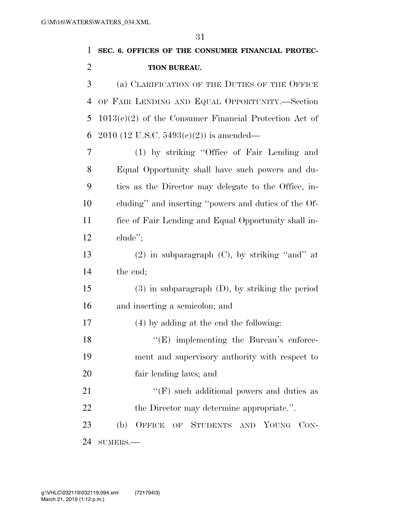| $\mathbf{1}$   | SEC. 6. OFFICES OF THE CONSUMER FINANCIAL PROTEC-        |
|----------------|----------------------------------------------------------|
| $\overline{2}$ | TION BUREAU.                                             |
| 3              | (a) CLARIFICATION OF THE DUTIES OF THE OFFICE            |
| 4              | OF FAIR LENDING AND EQUAL OPPORTUNITY.-Section           |
| 5              | $1013(c)(2)$ of the Consumer Financial Protection Act of |
| 6              | $2010$ (12 U.S.C. 5493(c)(2)) is amended—                |
| 7              | (1) by striking "Office of Fair Lending and              |
| 8              | Equal Opportunity shall have such powers and du-         |
| 9              | ties as the Director may delegate to the Office, in-     |
| 10             | cluding" and inserting "powers and duties of the Of-     |
| 11             | fice of Fair Lending and Equal Opportunity shall in-     |
| 12             | $chude$ <sup>"</sup> ;                                   |
| 13             | $(2)$ in subparagraph $(C)$ , by striking "and" at       |
| 14             | the end;                                                 |
| 15             | $(3)$ in subparagraph $(D)$ , by striking the period     |
| 16             | and inserting a semicolon; and                           |
| 17             | (4) by adding at the end the following:                  |
| 18             | $\lq\lq$ (E) implementing the Bureau's enforce-          |
| 19             | ment and supervisory authority with respect to           |
| 20             | fair lending laws; and                                   |
| 21             | $\lq\lq(F)$ such additional powers and duties as         |
| 22             | the Director may determine appropriate.".                |
| 23             | OFFICE OF STUDENTS AND YOUNG<br>(b)<br>CON-              |
| 24             | $SUMERS. -$                                              |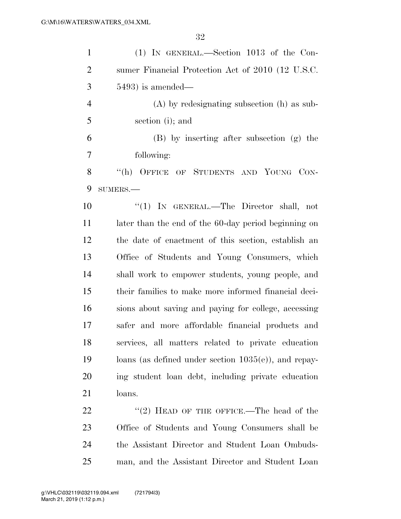| $\mathbf{1}$   | $(1)$ IN GENERAL.—Section 1013 of the Con-              |
|----------------|---------------------------------------------------------|
| $\overline{2}$ | sumer Financial Protection Act of 2010 (12 U.S.C.       |
| 3              | $5493$ ) is amended—                                    |
| $\overline{4}$ | $(A)$ by redesignating subsection $(h)$ as sub-         |
| 5              | section (i); and                                        |
| 6              | (B) by inserting after subsection (g) the               |
| 7              | following:                                              |
| 8              | "(h) OFFICE OF STUDENTS AND YOUNG CON-                  |
| 9              | $SUMERS. -$                                             |
| 10             | "(1) IN GENERAL.—The Director shall, not                |
| 11             | later than the end of the 60-day period beginning on    |
| 12             | the date of enactment of this section, establish an     |
| 13             | Office of Students and Young Consumers, which           |
| 14             | shall work to empower students, young people, and       |
| 15             | their families to make more informed financial deci-    |
| 16             | sions about saving and paying for college, accessing    |
| 17             | safer and more affordable financial products and        |
| 18             | services, all matters related to private education      |
| 19             | loans (as defined under section $1035(e)$ ), and repay- |
| <b>20</b>      | ing student loan debt, including private education      |
| 21             | loans.                                                  |
| 22             | "(2) HEAD OF THE OFFICE.—The head of the                |
| 23             | Office of Students and Young Consumers shall be         |
| 24             | the Assistant Director and Student Loan Ombuds-         |
| 25             | man, and the Assistant Director and Student Loan        |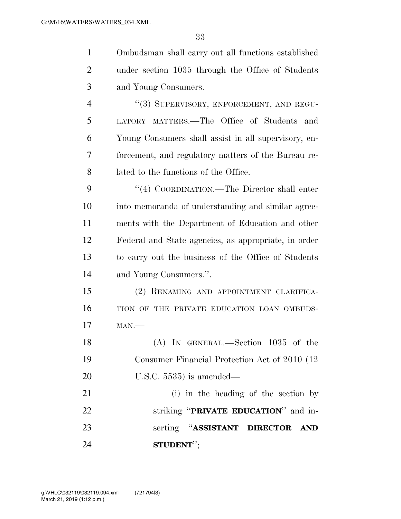| $\mathbf{1}$   | Ombudsman shall carry out all functions established  |
|----------------|------------------------------------------------------|
| $\overline{2}$ | under section 1035 through the Office of Students    |
| 3              | and Young Consumers.                                 |
| $\overline{4}$ | "(3) SUPERVISORY, ENFORCEMENT, AND REGU-             |
| 5              | LATORY MATTERS.—The Office of Students<br>and        |
| 6              | Young Consumers shall assist in all supervisory, en- |
| 7              | forcement, and regulatory matters of the Bureau re-  |
| 8              | lated to the functions of the Office.                |
| 9              | "(4) COORDINATION.—The Director shall enter          |
| 10             | into memoranda of understanding and similar agree-   |
| 11             | ments with the Department of Education and other     |
| 12             | Federal and State agencies, as appropriate, in order |
| 13             | to carry out the business of the Office of Students  |
| 14             | and Young Consumers.".                               |
| 15             | (2) RENAMING AND APPOINTMENT CLARIFICA-              |
| 16             | TION OF THE PRIVATE EDUCATION LOAN OMBUDS-           |
| 17             | $MAN$ .                                              |
| 18             | $(A)$ In GENERAL.—Section 1035 of the                |
| 19             | Consumer Financial Protection Act of 2010 (12)       |
| <b>20</b>      | U.S.C. $5535$ ) is amended—                          |
| 21             | (i) in the heading of the section by                 |
| 22             | striking "PRIVATE EDUCATION" and in-                 |
| 23             | serting "ASSISTANT DIRECTOR<br><b>AND</b>            |
| 24             | STUDENT";                                            |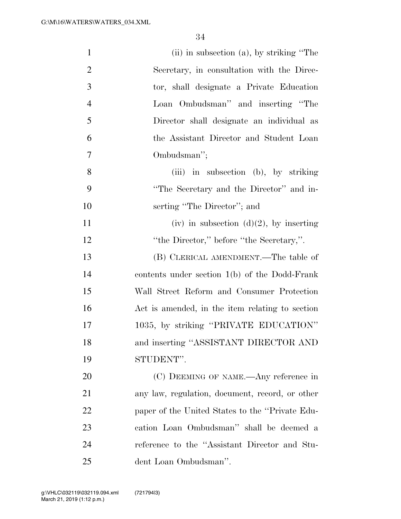| $\mathbf{1}$   | $(ii)$ in subsection $(a)$ , by striking "The   |
|----------------|-------------------------------------------------|
| $\overline{2}$ | Secretary, in consultation with the Direc-      |
| 3              | tor, shall designate a Private Education        |
| $\overline{4}$ | Loan Ombudsman" and inserting "The              |
| 5              | Director shall designate an individual as       |
| 6              | the Assistant Director and Student Loan         |
| 7              | Ombudsman";                                     |
| 8              | (iii) in subsection (b), by striking            |
| 9              | "The Secretary and the Director" and in-        |
| 10             | serting "The Director"; and                     |
| 11             | (iv) in subsection $(d)(2)$ , by inserting      |
| 12             | "the Director," before "the Secretary,".        |
| 13             | (B) CLERICAL AMENDMENT.—The table of            |
| 14             | contents under section $1(b)$ of the Dodd-Frank |
| 15             | Wall Street Reform and Consumer Protection      |
| 16             | Act is amended, in the item relating to section |
| 17             | 1035, by striking "PRIVATE EDUCATION"           |
| 18             | and inserting "ASSISTANT DIRECTOR AND           |
| 19             | STUDENT".                                       |
| 20             | (C) DEEMING OF NAME.—Any reference in           |
| 21             | any law, regulation, document, record, or other |
| 22             | paper of the United States to the "Private Edu- |
| 23             | cation Loan Ombudsman" shall be deemed a        |
| 24             | reference to the "Assistant Director and Stu-   |
| 25             | dent Loan Ombudsman".                           |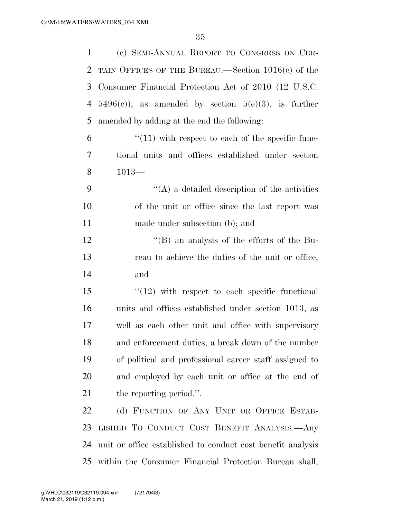| 1              | (c) SEMI-ANNUAL REPORT TO CONGRESS ON CER-                  |
|----------------|-------------------------------------------------------------|
| $\overline{2}$ | TAIN OFFICES OF THE BUREAU.—Section $1016(c)$ of the        |
| 3              | Consumer Financial Protection Act of 2010 (12 U.S.C.        |
| 4              | $5496(c)$ , as amended by section $5(e)(3)$ , is further    |
| 5              | amended by adding at the end the following:                 |
| 6              | $\lq(11)$ with respect to each of the specific func-        |
| 7              | tional units and offices established under section          |
| 8              | $1013-$                                                     |
| 9              | $\lq\lq$ a detailed description of the activities           |
| 10             | of the unit or office since the last report was             |
| 11             | made under subsection (b); and                              |
| 12             | $\mathrm{``(B)}$ an analysis of the efforts of the Bu-      |
| 13             | reau to achieve the duties of the unit or office;           |
| 14             | and                                                         |
| 15             | $\degree$ (12) with respect to each specific functional     |
| 16             | units and offices established under section 1013, as        |
| 17             | well as each other unit and office with supervisory         |
| 18             | and enforcement duties, a break down of the number          |
| 19             | of political and professional career staff assigned to      |
| 20             | and employed by each unit or office at the end of           |
| 21             | the reporting period.".                                     |
| 22             | (d) FUNCTION OF ANY UNIT OR OFFICE ESTAB-                   |
| 23             | LISHED TO CONDUCT COST BENEFIT ANALYSIS. Any                |
| 24             | unit or office established to conduct cost benefit analysis |
| 25             | within the Consumer Financial Protection Bureau shall,      |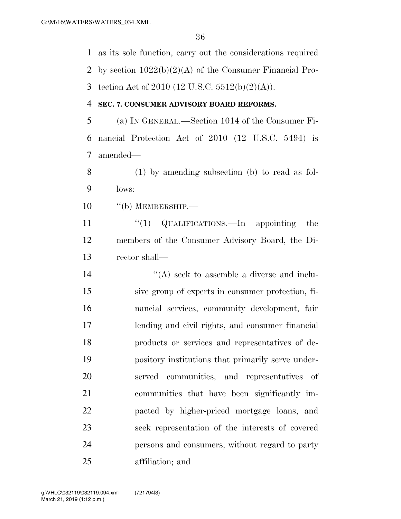as its sole function, carry out the considerations required by section 1022(b)(2)(A) of the Consumer Financial Pro-3 tection Act of 2010 (12 U.S.C.  $5512(b)(2)(A)$ ). **SEC. 7. CONSUMER ADVISORY BOARD REFORMS.**  (a) IN GENERAL.—Section 1014 of the Consumer Fi- nancial Protection Act of 2010 (12 U.S.C. 5494) is amended— (1) by amending subsection (b) to read as fol- lows: 10 "(b) MEMBERSHIP.— 11 ''(1) QUALIFICATIONS.—In appointing the members of the Consumer Advisory Board, the Di- rector shall— ''(A) seek to assemble a diverse and inclu- sive group of experts in consumer protection, fi- nancial services, community development, fair lending and civil rights, and consumer financial products or services and representatives of de- pository institutions that primarily serve under- served communities, and representatives of communities that have been significantly im- pacted by higher-priced mortgage loans, and seek representation of the interests of covered persons and consumers, without regard to party affiliation; and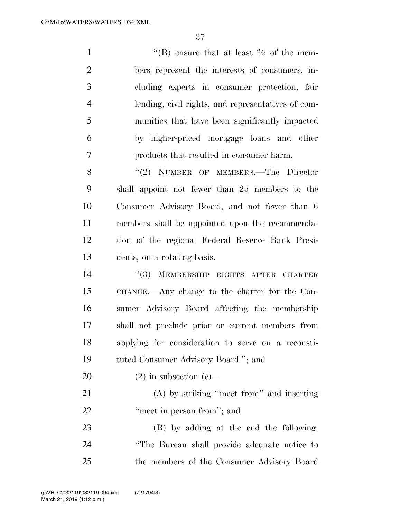$\langle$  (B) ensure that at least  $\frac{2}{3}$  of the mem- bers represent the interests of consumers, in- cluding experts in consumer protection, fair lending, civil rights, and representatives of com- munities that have been significantly impacted by higher-priced mortgage loans and other products that resulted in consumer harm.

8 "(2) NUMBER OF MEMBERS.—The Director shall appoint not fewer than 25 members to the Consumer Advisory Board, and not fewer than 6 members shall be appointed upon the recommenda- tion of the regional Federal Reserve Bank Presi-dents, on a rotating basis.

 ''(3) MEMBERSHIP RIGHTS AFTER CHARTER CHANGE.—Any change to the charter for the Con- sumer Advisory Board affecting the membership shall not preclude prior or current members from applying for consideration to serve on a reconsti-tuted Consumer Advisory Board.''; and

20  $(2)$  in subsection  $(c)$ — (A) by striking ''meet from'' and inserting

22 "meet in person from"; and

 (B) by adding at the end the following: ''The Bureau shall provide adequate notice to the members of the Consumer Advisory Board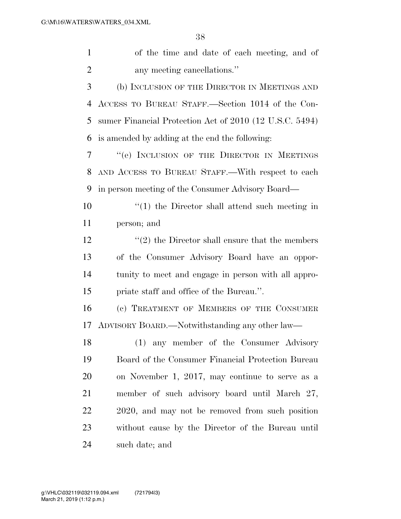| 2<br>any meeting cancellations."<br>3<br>(b) INCLUSION OF THE DIRECTOR IN MEETINGS AND<br>ACCESS TO BUREAU STAFF.—Section 1014 of the Con-<br>4<br>5<br>sumer Financial Protection Act of 2010 (12 U.S.C. 5494)<br>is amended by adding at the end the following:<br>6<br>"(e) INCLUSION OF THE DIRECTOR IN MEETINGS<br>7 |  |
|---------------------------------------------------------------------------------------------------------------------------------------------------------------------------------------------------------------------------------------------------------------------------------------------------------------------------|--|
|                                                                                                                                                                                                                                                                                                                           |  |
|                                                                                                                                                                                                                                                                                                                           |  |
|                                                                                                                                                                                                                                                                                                                           |  |
|                                                                                                                                                                                                                                                                                                                           |  |
|                                                                                                                                                                                                                                                                                                                           |  |
|                                                                                                                                                                                                                                                                                                                           |  |
| AND ACCESS TO BUREAU STAFF.—With respect to each<br>8                                                                                                                                                                                                                                                                     |  |
| in person meeting of the Consumer Advisory Board—<br>9                                                                                                                                                                                                                                                                    |  |
| 10<br>$\lq(1)$ the Director shall attend such meeting in                                                                                                                                                                                                                                                                  |  |
| 11<br>person; and                                                                                                                                                                                                                                                                                                         |  |
| 12<br>$\cdot\cdot\cdot(2)$ the Director shall ensure that the members                                                                                                                                                                                                                                                     |  |
| 13<br>of the Consumer Advisory Board have an oppor-                                                                                                                                                                                                                                                                       |  |
| 14<br>tunity to meet and engage in person with all appro-                                                                                                                                                                                                                                                                 |  |
| 15<br>priate staff and office of the Bureau.".                                                                                                                                                                                                                                                                            |  |
| 16<br>(c) TREATMENT OF MEMBERS OF THE CONSUMER                                                                                                                                                                                                                                                                            |  |
| ADVISORY BOARD.—Notwithstanding any other law—<br>17                                                                                                                                                                                                                                                                      |  |
| (1) any member of the Consumer Advisory<br>18                                                                                                                                                                                                                                                                             |  |
| 19<br>Board of the Consumer Financial Protection Bureau                                                                                                                                                                                                                                                                   |  |
| 20<br>on November 1, 2017, may continue to serve as a                                                                                                                                                                                                                                                                     |  |
| 21<br>member of such advisory board until March 27,                                                                                                                                                                                                                                                                       |  |
| 22<br>2020, and may not be removed from such position                                                                                                                                                                                                                                                                     |  |
| 23<br>without cause by the Director of the Bureau until                                                                                                                                                                                                                                                                   |  |
| 24<br>such date; and                                                                                                                                                                                                                                                                                                      |  |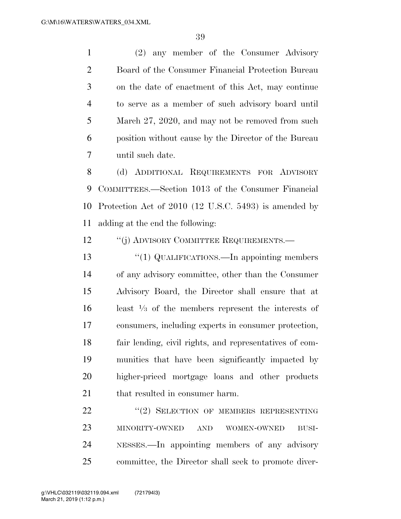(2) any member of the Consumer Advisory Board of the Consumer Financial Protection Bureau on the date of enactment of this Act, may continue to serve as a member of such advisory board until March 27, 2020, and may not be removed from such position without cause by the Director of the Bureau until such date.

 (d) ADDITIONAL REQUIREMENTS FOR ADVISORY COMMITTEES.—Section 1013 of the Consumer Financial Protection Act of 2010 (12 U.S.C. 5493) is amended by adding at the end the following:

12 "(j) ADVISORY COMMITTEE REQUIREMENTS.—

13 "(1) QUALIFICATIONS.—In appointing members of any advisory committee, other than the Consumer Advisory Board, the Director shall ensure that at 16 – least  $\frac{1}{3}$  of the members represent the interests of consumers, including experts in consumer protection, fair lending, civil rights, and representatives of com- munities that have been significantly impacted by higher-priced mortgage loans and other products 21 that resulted in consumer harm.

22 "(2) SELECTION OF MEMBERS REPRESENTING MINORITY-OWNED AND WOMEN-OWNED BUSI- NESSES.—In appointing members of any advisory committee, the Director shall seek to promote diver